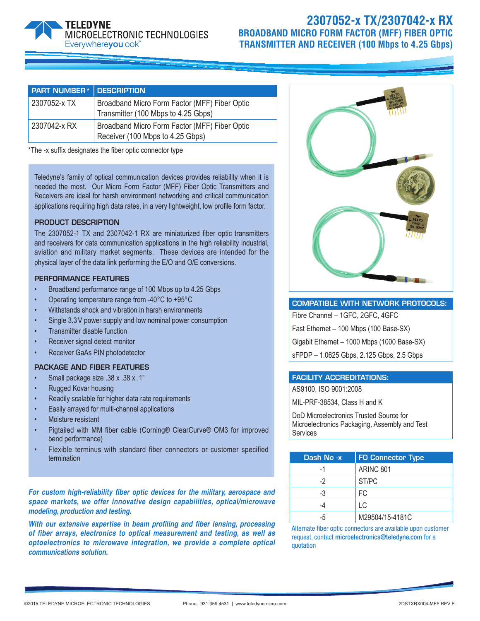# MICROELECTRONIC TECHNOLOGIES Everywhereyoulook<sup>\*\*</sup>

## **2307052-x TX/2307042-x RX BROADBAND MICRO FORM FACTOR (MFF) FIBER OPTIC TRANSMITTER AND RECEIVER (100 Mbps to 4.25 Gbps)**

| <b>PART NUMBER*</b> DESCRIPTION |                                                                                      |
|---------------------------------|--------------------------------------------------------------------------------------|
| 2307052-x TX                    | Broadband Micro Form Factor (MFF) Fiber Optic<br>Transmitter (100 Mbps to 4.25 Gbps) |
| 2307042-x RX                    | Broadband Micro Form Factor (MFF) Fiber Optic<br>Receiver (100 Mbps to 4.25 Gbps)    |

\*The -x suffix designates the fiber optic connector type

Teledyne's family of optical communication devices provides reliability when it is needed the most. Our Micro Form Factor (MFF) Fiber Optic Transmitters and Receivers are ideal for harsh environment networking and critical communication applications requiring high data rates, in a very lightweight, low profile form factor.

### PRODUCT DESCRIPTION

The 2307052-1 TX and 2307042-1 RX are miniaturized fiber optic transmitters and receivers for data communication applications in the high reliability industrial, aviation and military market segments. These devices are intended for the physical layer of the data link performing the E/O and O/E conversions.

### PERFORMANCE FEATURES

- Broadband performance range of 100 Mbps up to 4.25 Gbps
- Operating temperature range from -40°C to +95°C
- Withstands shock and vibration in harsh environments
- Single 3.3 V power supply and low nominal power consumption
- Transmitter disable function
- Receiver signal detect monitor
- Receiver GaAs PIN photodetector

### PACKAGE AND FIBER FEATURES

- Small package size .38 x .38 x .1"
- Rugged Kovar housing
- Readily scalable for higher data rate requirements
- Easily arrayed for multi-channel applications
- Moisture resistant
- Pigtailed with MM fiber cable (Corning® ClearCurve® OM3 for improved bend performance)
- Flexible terminus with standard fiber connectors or customer specified termination

*For custom high-reliability fiber optic devices for the military, aerospace and space markets, we offer innovative design capabilities, optical/microwave modeling, production and testing.* 

*With our extensive expertise in beam profiling and fiber lensing, processing of fiber arrays, electronics to optical measurement and testing, as well as optoelectronics to microwave integration, we provide a complete optical communications solution.*



### COMPATIBLE WITH NETWORK PROTOCOLS:

Fibre Channel – 1GFC, 2GFC, 4GFC

Fast Ethernet – 100 Mbps (100 Base-SX)

Gigabit Ethernet – 1000 Mbps (1000 Base-SX)

sFPDP – 1.0625 Gbps, 2.125 Gbps, 2.5 Gbps

### FACILITY ACCREDITATIONS:

AS9100, ISO 9001:2008

MIL-PRF-38534, Class H and K

DoD Microelectronics Trusted Source for Microelectronics Packaging, Assembly and Test **Services** 

| Dash No -x | <b>FO Connector Type</b> |
|------------|--------------------------|
| -1         | ARINC 801                |
| $-2$       | ST/PC                    |
| -3         | FC                       |
|            | LC                       |
| -5         | M29504/15-4181C          |

Alternate fiber optic connectors are available upon customer request, contact microelectronics@teledyne.com for a quotation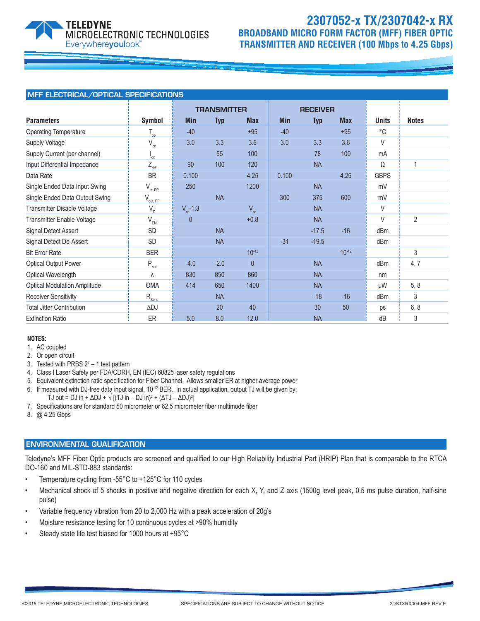

## **2307052-x TX/2307042-x RX BROADBAND MICRO FORM FACTOR (MFF) FIBER OPTIC TRANSMITTER AND RECEIVER (100 Mbps to 4.25 Gbps)**

| MFF ELECTRICAL/OPTICAL SPECIFICATIONS |                            |                    |           |                 |            |            |            |              |                |
|---------------------------------------|----------------------------|--------------------|-----------|-----------------|------------|------------|------------|--------------|----------------|
|                                       |                            | <b>TRANSMITTER</b> |           | <b>RECEIVER</b> |            |            |            |              |                |
| <b>Parameters</b>                     | Symbol                     | <b>Min</b>         | Typ       | <b>Max</b>      | <b>Min</b> | <b>Typ</b> | <b>Max</b> | <b>Units</b> | <b>Notes</b>   |
| <b>Operating Temperature</b>          | $T_{op}$                   | $-40$              |           | $+95$           | $-40$      |            | $+95$      | $^{\circ}$ C |                |
| <b>Supply Voltage</b>                 | $V_{cc}$                   | 3.0                | 3.3       | 3.6             | 3.0        | 3.3        | 3.6        | V            |                |
| Supply Current (per channel)          | $^{\mathsf{I}}$ cc         |                    | 55        | 100             |            | 78         | 100        | mA           |                |
| Input Differential Impedance          | $Z_{diff}$                 | 90                 | 100       | 120             |            | <b>NA</b>  |            | Ω            | 1              |
| Data Rate                             | <b>BR</b>                  | 0.100              |           | 4.25            | 0.100      |            | 4.25       | <b>GBPS</b>  |                |
| Single Ended Data Input Swing         | $V_{in, PP}$               | 250                |           | 1200            |            | <b>NA</b>  |            | mV           |                |
| Single Ended Data Output Swing        | $V_{\text{out, PP}}$       |                    | <b>NA</b> |                 | 300        | 375        | 600        | mV           |                |
| Transmitter Disable Voltage           | $V_{\text{D}}$             | $V_{\rm cc}$ -1.3  |           | $V_{cc}$        |            | <b>NA</b>  |            | V            |                |
| Transmitter Enable Voltage            | $\mathsf{V}_{\mathsf{EN}}$ | $\overline{0}$     |           | $+0.8$          |            | <b>NA</b>  |            | V            | $\overline{2}$ |
| Signal Detect Assert                  | <b>SD</b>                  |                    | <b>NA</b> |                 |            | $-17.5$    | $-16$      | dBm          |                |
| Signal Detect De-Assert               | SD                         |                    | <b>NA</b> |                 | $-31$      | $-19.5$    |            | dBm          |                |
| <b>Bit Error Rate</b>                 | <b>BER</b>                 |                    |           | $10^{-12}$      |            |            | $10^{-12}$ |              | 3              |
| <b>Optical Output Power</b>           | $P_{\text{out}}$           | $-4.0$             | $-2.0$    | $\mathbf{0}$    |            | <b>NA</b>  |            | dBm          | 4, 7           |
| Optical Wavelength                    | λ                          | 830                | 850       | 860             |            | <b>NA</b>  |            | nm           |                |
| <b>Optical Modulation Amplitude</b>   | <b>OMA</b>                 | 414                | 650       | 1400            |            | <b>NA</b>  |            | μW           | 5, 8           |
| <b>Receiver Sensitivity</b>           | $R_{\rm Sens}$             |                    | <b>NA</b> |                 |            | $-18$      | $-16$      | dBm          | 3              |
| <b>Total Jitter Contribution</b>      | $\Delta$ DJ                |                    | 20        | 40              |            | 30         | 50         | ps           | 6, 8           |
| <b>Extinction Ratio</b>               | ER                         | 5.0                | 8.0       | 12.0            |            | <b>NA</b>  |            | dB           | 3              |

### **NOTES:**

- 1. AC coupled
- 2. Or open circuit
- 3. Tested with PRBS  $2^7 1$  test pattern
- 4. Class I Laser Safety per FDA/CDRH, EN (IEC) 60825 laser safety regulations
- 5. Equivalent extinction ratio specification for Fiber Channel. Allows smaller ER at higher average power
- 6. If measured with DJ-free data input signal, 10-12 BER. In actual application, output TJ will be given by:
- TJ out = DJ in + ΔDJ +  $\sqrt{}$  [(TJ in DJ in) $^2$  + (ΔTJ ΔDJ) $^2$ ]
- 7. Specifications are for standard 50 micrometer or 62.5 micrometer fiber multimode fiber
- 8. @ 4.25 Gbps

### ENVIRONMENTAL QUALIFICATION

Teledyne's MFF Fiber Optic products are screened and qualified to our High Reliability Industrial Part (HRIP) Plan that is comparable to the RTCA DO-160 and MIL-STD-883 standards:

- Temperature cycling from -55°C to +125°C for 110 cycles
- Mechanical shock of 5 shocks in positive and negative direction for each X, Y, and Z axis (1500g level peak, 0.5 ms pulse duration, half-sine pulse)
- Variable frequency vibration from 20 to 2,000 Hz with a peak acceleration of 20g's
- Moisture resistance testing for 10 continuous cycles at >90% humidity
- Steady state life test biased for 1000 hours at +95°C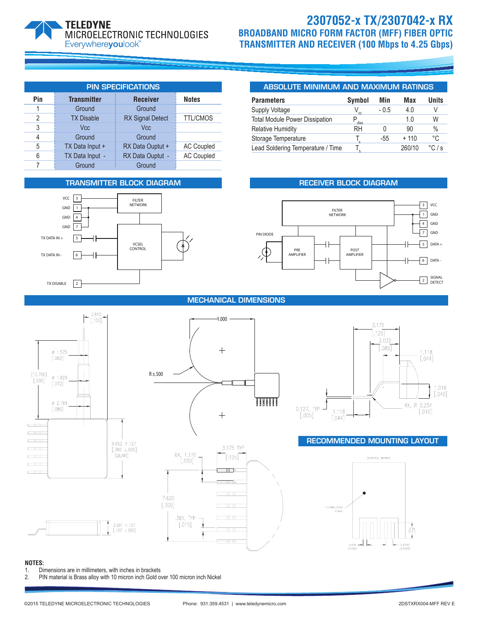

## **2307052-x TX/2307042-x RX BROADBAND MICRO FORM FACTOR (MFF) FIBER OPTIC TRANSMITTER AND RECEIVER (100 Mbps to 4.25 Gbps)**

| <b>PIN SPECIFICATIONS</b> |                    |                         |                   |  |  |  |
|---------------------------|--------------------|-------------------------|-------------------|--|--|--|
| Pin                       | <b>Transmitter</b> | <b>Receiver</b>         | <b>Notes</b>      |  |  |  |
|                           | Ground             | Ground                  |                   |  |  |  |
| 2                         | <b>TX Disable</b>  | <b>RX Signal Detect</b> | <b>TTL/CMOS</b>   |  |  |  |
| 3                         | Vcc                | <b>V<sub>cc</sub></b>   |                   |  |  |  |
| 4                         | Ground             | Ground                  |                   |  |  |  |
| 5                         | TX Data Input +    | RX Data Ouptut +        | <b>AC Coupled</b> |  |  |  |
| 6                         | TX Data Input -    | RX Data Ouptut -        | <b>AC Coupled</b> |  |  |  |
|                           | Ground             | Ground                  |                   |  |  |  |

### TRANSMITTER BLOCK DIAGRAM **RECEIVER BLOCK DIAGRAM**



### ABSOLUTE MINIMUM AND MAXIMUM RATINGS

| <b>Parameters</b>                     | Symbol   | Min    | Max    | Units                    |
|---------------------------------------|----------|--------|--------|--------------------------|
| Supply Voltage                        | $\alpha$ | $-0.5$ | 4.0    | V                        |
| <b>Total Module Power Dissipation</b> | diss     |        | 1.0    | W                        |
| <b>Relative Humidity</b>              | RH       |        | 90     | $\%$                     |
| Storage Temperature                   |          | -55    | $+110$ | °C                       |
| Lead Soldering Temperature / Time     |          |        | 260/10 | $\degree$ C. $\degree$ s |



### MECHANICAL DIMENSIONS

1.000





.381, TYP

 $[.015]$ 

Ŧ



### RECOMMENDED MOUNTING LAYOUT



### **NOTES:**

1. Dimensions are in millimeters, with inches in brackets<br>2. PIN material is Brass alloy with 10 micron inch Gold of

PIN material is Brass alloy with 10 micron inch Gold over 100 micron inch Nickel

 $\overline{\mathbb{T}}$